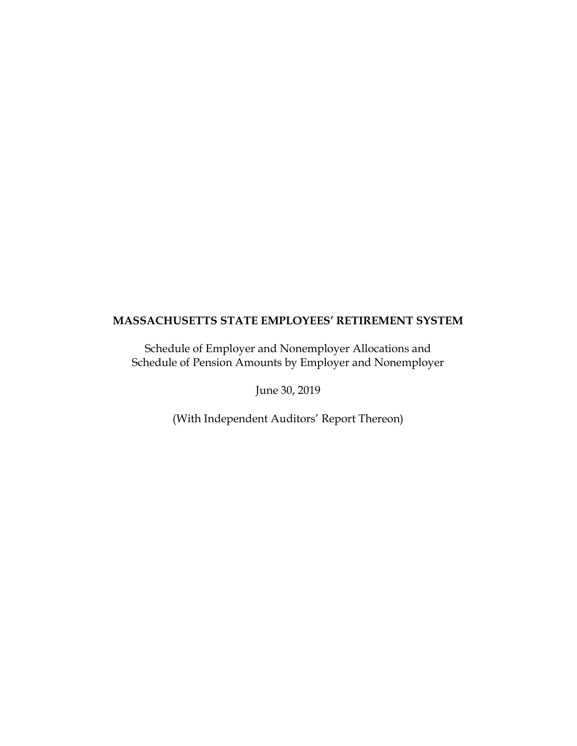Schedule of Employer and Nonemployer Allocations and Schedule of Pension Amounts by Employer and Nonemployer

June 30, 2019

(With Independent Auditors' Report Thereon)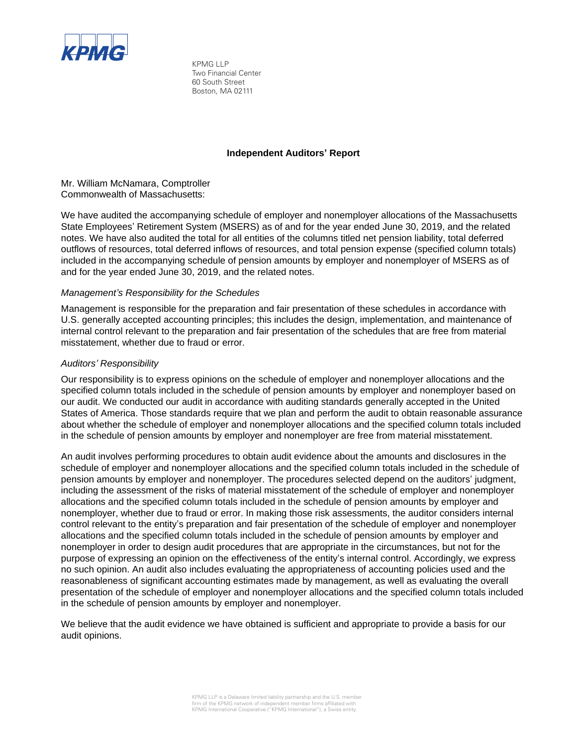

KPMG LLP Two Financial Center 60 South Street Boston, MA 02111

## **Independent Auditors' Report**

Mr. William McNamara, Comptroller Commonwealth of Massachusetts:

We have audited the accompanying schedule of employer and nonemployer allocations of the Massachusetts State Employees' Retirement System (MSERS) as of and for the year ended June 30, 2019, and the related notes. We have also audited the total for all entities of the columns titled net pension liability, total deferred outflows of resources, total deferred inflows of resources, and total pension expense (specified column totals) included in the accompanying schedule of pension amounts by employer and nonemployer of MSERS as of and for the year ended June 30, 2019, and the related notes.

## *Management's Responsibility for the Schedules*

Management is responsible for the preparation and fair presentation of these schedules in accordance with U.S. generally accepted accounting principles; this includes the design, implementation, and maintenance of internal control relevant to the preparation and fair presentation of the schedules that are free from material misstatement, whether due to fraud or error.

## *Auditors' Responsibility*

Our responsibility is to express opinions on the schedule of employer and nonemployer allocations and the specified column totals included in the schedule of pension amounts by employer and nonemployer based on our audit. We conducted our audit in accordance with auditing standards generally accepted in the United States of America. Those standards require that we plan and perform the audit to obtain reasonable assurance about whether the schedule of employer and nonemployer allocations and the specified column totals included in the schedule of pension amounts by employer and nonemployer are free from material misstatement.

An audit involves performing procedures to obtain audit evidence about the amounts and disclosures in the schedule of employer and nonemployer allocations and the specified column totals included in the schedule of pension amounts by employer and nonemployer. The procedures selected depend on the auditors' judgment, including the assessment of the risks of material misstatement of the schedule of employer and nonemployer allocations and the specified column totals included in the schedule of pension amounts by employer and nonemployer, whether due to fraud or error. In making those risk assessments, the auditor considers internal control relevant to the entity's preparation and fair presentation of the schedule of employer and nonemployer allocations and the specified column totals included in the schedule of pension amounts by employer and nonemployer in order to design audit procedures that are appropriate in the circumstances, but not for the purpose of expressing an opinion on the effectiveness of the entity's internal control. Accordingly, we express no such opinion. An audit also includes evaluating the appropriateness of accounting policies used and the reasonableness of significant accounting estimates made by management, as well as evaluating the overall presentation of the schedule of employer and nonemployer allocations and the specified column totals included in the schedule of pension amounts by employer and nonemployer.

We believe that the audit evidence we have obtained is sufficient and appropriate to provide a basis for our audit opinions.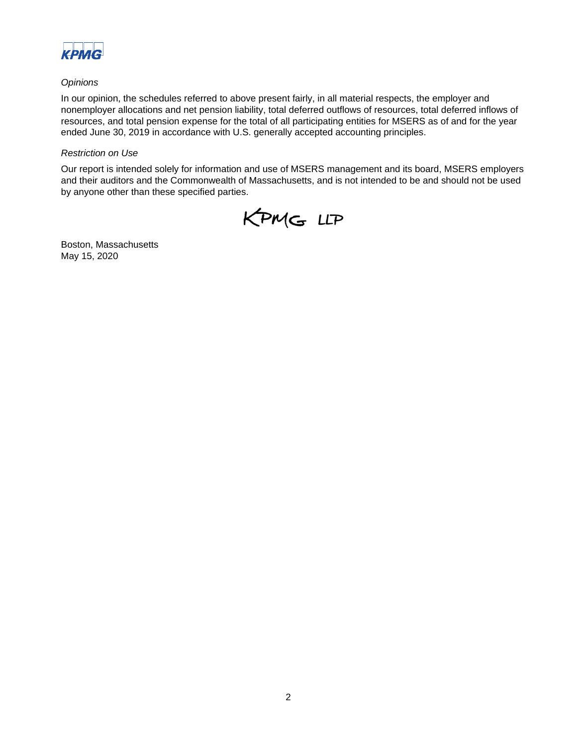

## *Opinions*

In our opinion, the schedules referred to above present fairly, in all material respects, the employer and nonemployer allocations and net pension liability, total deferred outflows of resources, total deferred inflows of resources, and total pension expense for the total of all participating entities for MSERS as of and for the year ended June 30, 2019 in accordance with U.S. generally accepted accounting principles.

## *Restriction on Use*

Our report is intended solely for information and use of MSERS management and its board, MSERS employers and their auditors and the Commonwealth of Massachusetts, and is not intended to be and should not be used by anyone other than these specified parties.



Boston, Massachusetts May 15, 2020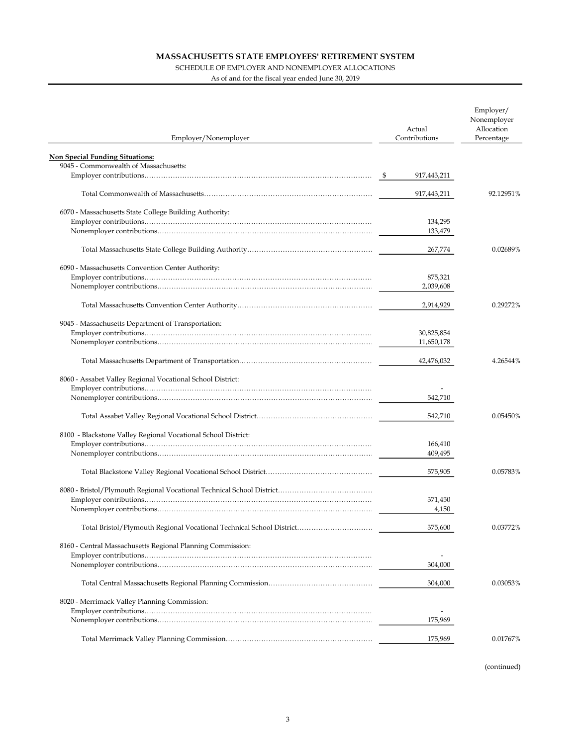#### SCHEDULE OF EMPLOYER AND NONEMPLOYER ALLOCATIONS

As of and for the fiscal year ended June 30, 2019

|                                                                      | Actual             | Employer/<br>Nonemployer<br>Allocation |
|----------------------------------------------------------------------|--------------------|----------------------------------------|
| Employer/Nonemployer                                                 | Contributions      | Percentage                             |
| <b>Non Special Funding Situations:</b>                               |                    |                                        |
| 9045 - Commonwealth of Massachusetts:                                |                    |                                        |
|                                                                      | 917,443,211        |                                        |
|                                                                      |                    |                                        |
|                                                                      | 917,443,211        | 92.12951%                              |
|                                                                      |                    |                                        |
| 6070 - Massachusetts State College Building Authority:               |                    |                                        |
|                                                                      | 134,295            |                                        |
|                                                                      | 133,479            |                                        |
|                                                                      | 267,774            | 0.02689%                               |
|                                                                      |                    |                                        |
| 6090 - Massachusetts Convention Center Authority:                    |                    |                                        |
|                                                                      | 875,321            |                                        |
|                                                                      | 2,039,608          |                                        |
|                                                                      |                    |                                        |
|                                                                      | 2,914,929          | 0.29272%                               |
|                                                                      |                    |                                        |
| 9045 - Massachusetts Department of Transportation:                   |                    |                                        |
|                                                                      | 30,825,854         |                                        |
|                                                                      | 11,650,178         |                                        |
|                                                                      | 42,476,032         | 4.26544%                               |
|                                                                      |                    |                                        |
| 8060 - Assabet Valley Regional Vocational School District:           |                    |                                        |
|                                                                      |                    |                                        |
|                                                                      | 542,710            |                                        |
|                                                                      |                    |                                        |
|                                                                      | 542,710            | 0.05450%                               |
|                                                                      |                    |                                        |
| 8100 - Blackstone Valley Regional Vocational School District:        |                    |                                        |
|                                                                      | 166,410<br>409,495 |                                        |
|                                                                      |                    |                                        |
|                                                                      | 575,905            | 0.05783%                               |
|                                                                      |                    |                                        |
|                                                                      |                    |                                        |
|                                                                      | 371,450            |                                        |
|                                                                      | 4,150              |                                        |
|                                                                      |                    |                                        |
| Total Bristol/Plymouth Regional Vocational Technical School District | 375,600            | 0.03772%                               |
|                                                                      |                    |                                        |
| 8160 - Central Massachusetts Regional Planning Commission:           |                    |                                        |
|                                                                      |                    |                                        |
|                                                                      | 304,000            |                                        |
|                                                                      |                    |                                        |
|                                                                      | 304,000            | 0.03053%                               |
| 8020 - Merrimack Valley Planning Commission:                         |                    |                                        |
|                                                                      |                    |                                        |
|                                                                      | 175,969            |                                        |
|                                                                      |                    |                                        |
|                                                                      | 175,969            | 0.01767%                               |
|                                                                      |                    |                                        |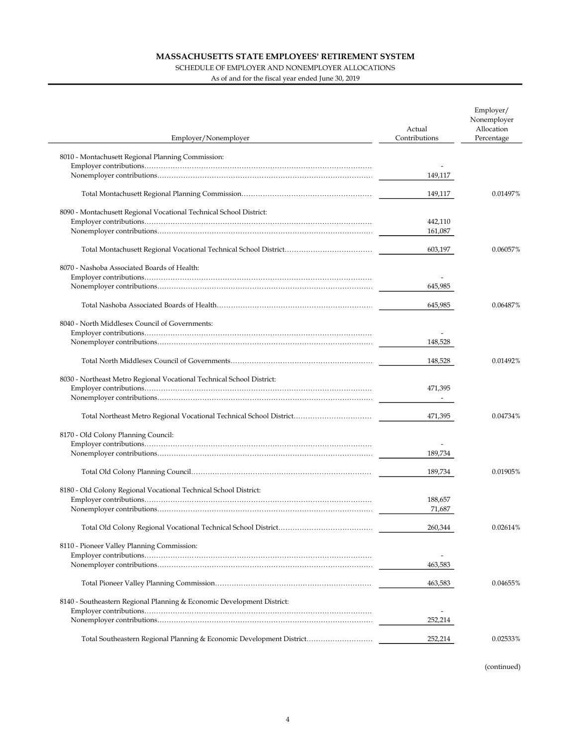#### SCHEDULE OF EMPLOYER AND NONEMPLOYER ALLOCATIONS

As of and for the fiscal year ended June 30, 2019

| Employer/Nonemployer                                                   | Actual<br>Contributions | Employer/<br>Nonemployer<br>Allocation<br>Percentage |
|------------------------------------------------------------------------|-------------------------|------------------------------------------------------|
| 8010 - Montachusett Regional Planning Commission:                      |                         |                                                      |
|                                                                        |                         |                                                      |
|                                                                        | 149,117                 |                                                      |
|                                                                        | 149,117                 | 0.01497%                                             |
|                                                                        |                         |                                                      |
| 8090 - Montachusett Regional Vocational Technical School District:     | 442,110                 |                                                      |
|                                                                        | 161,087                 |                                                      |
|                                                                        |                         |                                                      |
|                                                                        | 603,197                 | 0.06057%                                             |
| 8070 - Nashoba Associated Boards of Health:                            |                         |                                                      |
|                                                                        |                         |                                                      |
|                                                                        | 645,985                 |                                                      |
|                                                                        | 645,985                 | 0.06487%                                             |
| 8040 - North Middlesex Council of Governments:                         |                         |                                                      |
|                                                                        |                         |                                                      |
|                                                                        | 148,528                 |                                                      |
|                                                                        |                         |                                                      |
|                                                                        | 148,528                 | 0.01492%                                             |
| 8030 - Northeast Metro Regional Vocational Technical School District:  |                         |                                                      |
|                                                                        | 471,395                 |                                                      |
|                                                                        |                         |                                                      |
| Total Northeast Metro Regional Vocational Technical School District    | 471,395                 | 0.04734%                                             |
| 8170 - Old Colony Planning Council:                                    |                         |                                                      |
|                                                                        |                         |                                                      |
|                                                                        | 189,734                 |                                                      |
|                                                                        | 189,734                 | 0.01905%                                             |
| 8180 - Old Colony Regional Vocational Technical School District:       |                         |                                                      |
|                                                                        | 188,657                 |                                                      |
|                                                                        | 71,687                  |                                                      |
|                                                                        | 260,344                 | 0.02614%                                             |
| 8110 - Pioneer Valley Planning Commission:                             |                         |                                                      |
|                                                                        |                         |                                                      |
|                                                                        | 463,583                 |                                                      |
|                                                                        |                         |                                                      |
|                                                                        | 463,583                 | 0.04655%                                             |
| 8140 - Southeastern Regional Planning & Economic Development District: |                         |                                                      |
|                                                                        | $\overline{a}$          |                                                      |
|                                                                        | 252,214                 |                                                      |
| Total Southeastern Regional Planning & Economic Development District   | 252,214                 | 0.02533%                                             |
|                                                                        |                         |                                                      |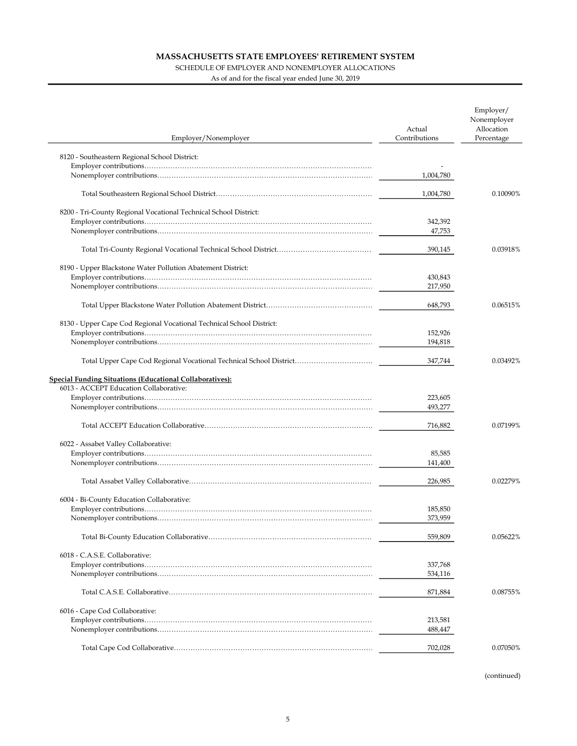### SCHEDULE OF EMPLOYER AND NONEMPLOYER ALLOCATIONS

As of and for the fiscal year ended June 30, 2019

| Employer/Nonemployer                                                 | Actual<br>Contributions | Employer/<br>Nonemployer<br>Allocation<br>Percentage |
|----------------------------------------------------------------------|-------------------------|------------------------------------------------------|
|                                                                      |                         |                                                      |
| 8120 - Southeastern Regional School District:                        |                         |                                                      |
|                                                                      | 1,004,780               |                                                      |
|                                                                      |                         |                                                      |
|                                                                      | 1,004,780               | 0.10090%                                             |
| 8200 - Tri-County Regional Vocational Technical School District:     |                         |                                                      |
|                                                                      | 342,392                 |                                                      |
|                                                                      | 47,753                  |                                                      |
|                                                                      |                         |                                                      |
|                                                                      | 390,145                 | 0.03918%                                             |
| 8190 - Upper Blackstone Water Pollution Abatement District:          |                         |                                                      |
|                                                                      | 430,843                 |                                                      |
|                                                                      | 217,950                 |                                                      |
|                                                                      | 648,793                 | 0.06515%                                             |
|                                                                      |                         |                                                      |
| 8130 - Upper Cape Cod Regional Vocational Technical School District: |                         |                                                      |
|                                                                      | 152,926                 |                                                      |
|                                                                      | 194,818                 |                                                      |
| Total Upper Cape Cod Regional Vocational Technical School District   | 347,744                 | 0.03492%                                             |
| <b>Special Funding Situations (Educational Collaboratives):</b>      |                         |                                                      |
| 6013 - ACCEPT Education Collaborative:                               |                         |                                                      |
|                                                                      | 223,605                 |                                                      |
|                                                                      | 493,277                 |                                                      |
|                                                                      |                         |                                                      |
|                                                                      | 716,882                 | 0.07199%                                             |
| 6022 - Assabet Valley Collaborative:                                 |                         |                                                      |
|                                                                      | 85,585                  |                                                      |
|                                                                      | 141,400                 |                                                      |
|                                                                      | 226.985                 | 0.02279%                                             |
|                                                                      |                         |                                                      |
| 6004 - Bi-County Education Collaborative:                            |                         |                                                      |
|                                                                      | 185,850                 |                                                      |
|                                                                      | 373,959                 |                                                      |
|                                                                      | 559,809                 | 0.05622%                                             |
| 6018 - C.A.S.E. Collaborative:                                       |                         |                                                      |
|                                                                      | 337,768                 |                                                      |
|                                                                      | 534,116                 |                                                      |
|                                                                      | 871,884                 | 0.08755%                                             |
| 6016 - Cape Cod Collaborative:                                       |                         |                                                      |
|                                                                      | 213,581                 |                                                      |
|                                                                      | 488,447                 |                                                      |
|                                                                      |                         |                                                      |
|                                                                      | 702,028                 | 0.07050%                                             |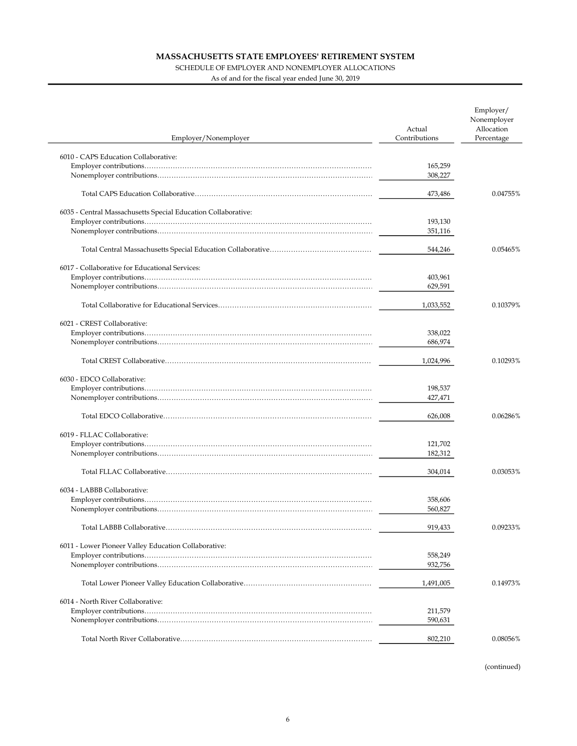### SCHEDULE OF EMPLOYER AND NONEMPLOYER ALLOCATIONS

As of and for the fiscal year ended June 30, 2019

| Employer/Nonemployer                                          | Actual<br>Contributions | Employer/<br>Nonemployer<br>Allocation<br>Percentage |
|---------------------------------------------------------------|-------------------------|------------------------------------------------------|
| 6010 - CAPS Education Collaborative:                          |                         |                                                      |
|                                                               | 165,259                 |                                                      |
|                                                               | 308,227                 |                                                      |
|                                                               | 473,486                 | 0.04755%                                             |
| 6035 - Central Massachusetts Special Education Collaborative: |                         |                                                      |
|                                                               | 193,130                 |                                                      |
|                                                               | 351,116                 |                                                      |
|                                                               | 544,246                 | 0.05465%                                             |
| 6017 - Collaborative for Educational Services:                |                         |                                                      |
|                                                               | 403,961                 |                                                      |
|                                                               | 629,591                 |                                                      |
|                                                               | 1,033,552               | 0.10379%                                             |
| 6021 - CREST Collaborative:                                   |                         |                                                      |
|                                                               | 338,022                 |                                                      |
|                                                               | 686,974                 |                                                      |
|                                                               | 1,024,996               | 0.10293%                                             |
| 6030 - EDCO Collaborative:                                    |                         |                                                      |
|                                                               | 198,537                 |                                                      |
|                                                               | 427,471                 |                                                      |
|                                                               | 626,008                 | 0.06286%                                             |
| 6019 - FLLAC Collaborative:                                   |                         |                                                      |
|                                                               | 121,702                 |                                                      |
|                                                               | 182,312                 |                                                      |
|                                                               | 304,014                 | 0.03053%                                             |
| 6034 - LABBB Collaborative:                                   |                         |                                                      |
|                                                               | 358,606                 |                                                      |
|                                                               | 560,827                 |                                                      |
|                                                               | 919,433                 | 0.09233%                                             |
| 6011 - Lower Pioneer Valley Education Collaborative:          |                         |                                                      |
|                                                               | 558,249                 |                                                      |
|                                                               | 932,756                 |                                                      |
|                                                               | 1,491,005               | 0.14973%                                             |
| 6014 - North River Collaborative:                             |                         |                                                      |
|                                                               | 211,579                 |                                                      |
|                                                               | 590,631                 |                                                      |
|                                                               | 802,210                 | 0.08056%                                             |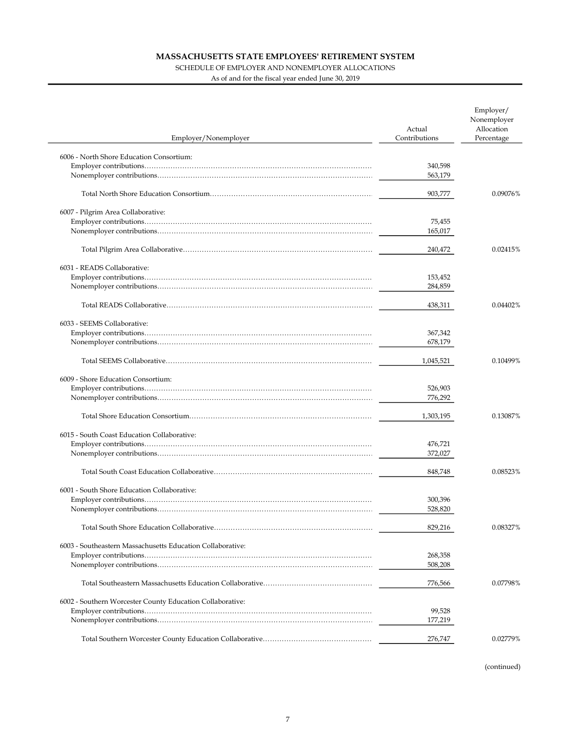### SCHEDULE OF EMPLOYER AND NONEMPLOYER ALLOCATIONS

As of and for the fiscal year ended June 30, 2019

| Employer/Nonemployer                                       | Actual<br>Contributions | Employer/<br>Nonemployer<br>Allocation<br>Percentage |
|------------------------------------------------------------|-------------------------|------------------------------------------------------|
|                                                            |                         |                                                      |
| 6006 - North Shore Education Consortium:                   |                         |                                                      |
|                                                            | 340,598                 |                                                      |
|                                                            | 563,179                 |                                                      |
|                                                            | 903,777                 | 0.09076%                                             |
| 6007 - Pilgrim Area Collaborative:                         |                         |                                                      |
|                                                            | 75,455                  |                                                      |
|                                                            | 165,017                 |                                                      |
|                                                            |                         |                                                      |
|                                                            | 240,472                 | 0.02415%                                             |
| 6031 - READS Collaborative:                                |                         |                                                      |
|                                                            | 153,452                 |                                                      |
|                                                            | 284,859                 |                                                      |
|                                                            |                         |                                                      |
|                                                            | 438,311                 | 0.04402%                                             |
| 6033 - SEEMS Collaborative:                                |                         |                                                      |
|                                                            | 367,342                 |                                                      |
|                                                            | 678,179                 |                                                      |
|                                                            | 1,045,521               | 0.10499%                                             |
|                                                            |                         |                                                      |
| 6009 - Shore Education Consortium:                         |                         |                                                      |
|                                                            | 526,903                 |                                                      |
|                                                            | 776,292                 |                                                      |
|                                                            | 1,303,195               | 0.13087%                                             |
| 6015 - South Coast Education Collaborative:                |                         |                                                      |
|                                                            | 476,721                 |                                                      |
|                                                            | 372,027                 |                                                      |
|                                                            |                         |                                                      |
|                                                            | 848,748                 | 0.08523%                                             |
| 6001 - South Shore Education Collaborative:                |                         |                                                      |
|                                                            | 300,396                 |                                                      |
|                                                            | 528,820                 |                                                      |
|                                                            | 829,216                 | 0.08327%                                             |
|                                                            |                         |                                                      |
| 6003 - Southeastern Massachusetts Education Collaborative: | 268,358                 |                                                      |
|                                                            | 508,208                 |                                                      |
|                                                            |                         |                                                      |
|                                                            | 776,566                 | 0.07798%                                             |
| 6002 - Southern Worcester County Education Collaborative:  |                         |                                                      |
|                                                            | 99,528                  |                                                      |
|                                                            | 177,219                 |                                                      |
|                                                            |                         |                                                      |
|                                                            | 276,747                 | 0.02779%                                             |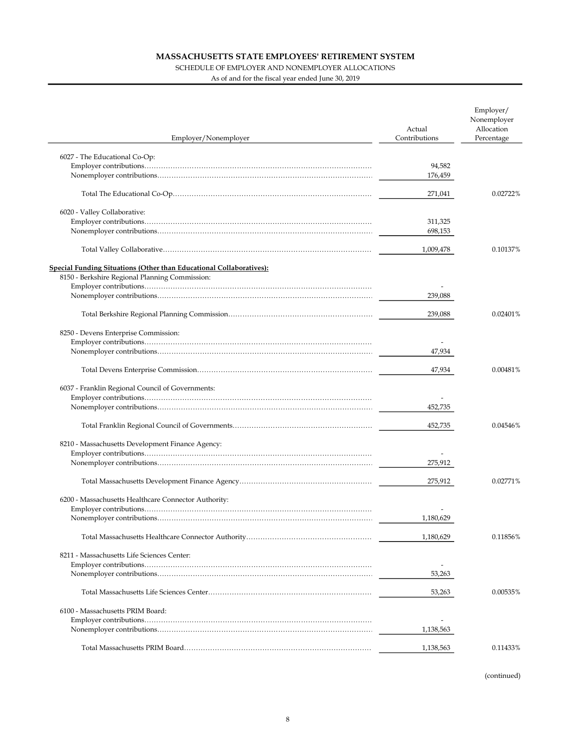### SCHEDULE OF EMPLOYER AND NONEMPLOYER ALLOCATIONS

As of and for the fiscal year ended June 30, 2019

| Employer/Nonemployer                                                | Actual<br>Contributions | Employer/<br>Nonemployer<br>Allocation<br>Percentage |
|---------------------------------------------------------------------|-------------------------|------------------------------------------------------|
|                                                                     |                         |                                                      |
| 6027 - The Educational Co-Op:                                       |                         |                                                      |
|                                                                     | 94,582<br>176,459       |                                                      |
|                                                                     |                         |                                                      |
|                                                                     | 271,041                 | 0.02722%                                             |
| 6020 - Valley Collaborative:                                        |                         |                                                      |
|                                                                     | 311,325                 |                                                      |
|                                                                     | 698,153                 |                                                      |
|                                                                     | 1,009,478               | 0.10137%                                             |
| Special Funding Situations (Other than Educational Collaboratives): |                         |                                                      |
| 8150 - Berkshire Regional Planning Commission:                      |                         |                                                      |
|                                                                     |                         |                                                      |
|                                                                     | 239,088                 |                                                      |
|                                                                     | 239,088                 | 0.02401%                                             |
|                                                                     |                         |                                                      |
| 8250 - Devens Enterprise Commission:                                |                         |                                                      |
|                                                                     | 47,934                  |                                                      |
|                                                                     |                         |                                                      |
|                                                                     | 47,934                  | 0.00481%                                             |
| 6037 - Franklin Regional Council of Governments:                    |                         |                                                      |
|                                                                     |                         |                                                      |
|                                                                     | 452,735                 |                                                      |
|                                                                     | 452,735                 | 0.04546%                                             |
| 8210 - Massachusetts Development Finance Agency:                    |                         |                                                      |
|                                                                     |                         |                                                      |
|                                                                     | 275,912                 |                                                      |
|                                                                     | 275,912                 | 0.02771%                                             |
|                                                                     |                         |                                                      |
| 6200 - Massachusetts Healthcare Connector Authority:                |                         |                                                      |
|                                                                     | 1,180,629               |                                                      |
|                                                                     |                         |                                                      |
|                                                                     | 1,180,629               | 0.11856%                                             |
| 8211 - Massachusetts Life Sciences Center:                          |                         |                                                      |
|                                                                     |                         |                                                      |
|                                                                     | 53,263                  |                                                      |
|                                                                     | 53,263                  | 0.00535%                                             |
| 6100 - Massachusetts PRIM Board:                                    |                         |                                                      |
|                                                                     |                         |                                                      |
|                                                                     | 1,138,563               |                                                      |
|                                                                     | 1,138,563               | 0.11433%                                             |
|                                                                     |                         |                                                      |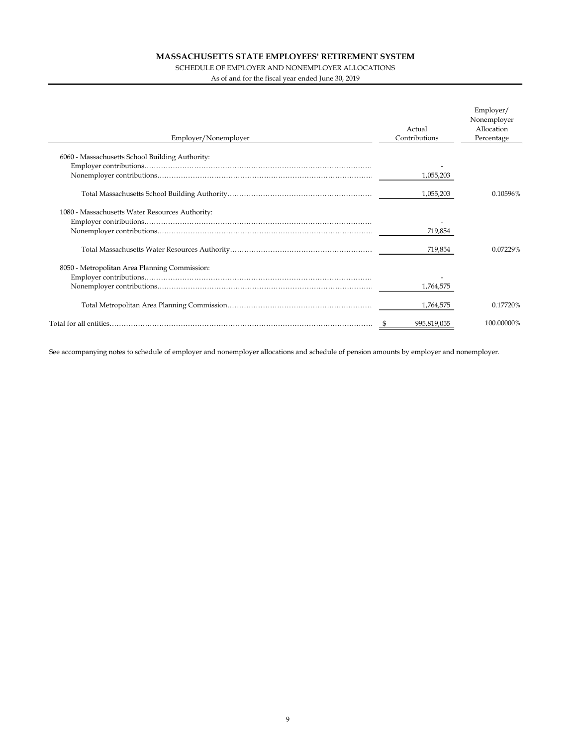#### SCHEDULE OF EMPLOYER AND NONEMPLOYER ALLOCATIONS

As of and for the fiscal year ended June 30, 2019

l,

| Employer/Nonemployer                            | Actual<br>Contributions | Employer/<br>Nonemployer<br>Allocation<br>Percentage |  |
|-------------------------------------------------|-------------------------|------------------------------------------------------|--|
| 6060 - Massachusetts School Building Authority: |                         |                                                      |  |
|                                                 | 1,055,203               |                                                      |  |
|                                                 | 1,055,203               | 0.10596%                                             |  |
| 1080 - Massachusetts Water Resources Authority: | 719,854                 |                                                      |  |
|                                                 | 719,854                 | 0.07229%                                             |  |
| 8050 - Metropolitan Area Planning Commission:   |                         |                                                      |  |
|                                                 | 1,764,575               |                                                      |  |
|                                                 | 1,764,575               | 0.17720%                                             |  |
|                                                 | 995.819.055             | 100.00000%                                           |  |

See accompanying notes to schedule of employer and nonemployer allocations and schedule of pension amounts by employer and nonemployer.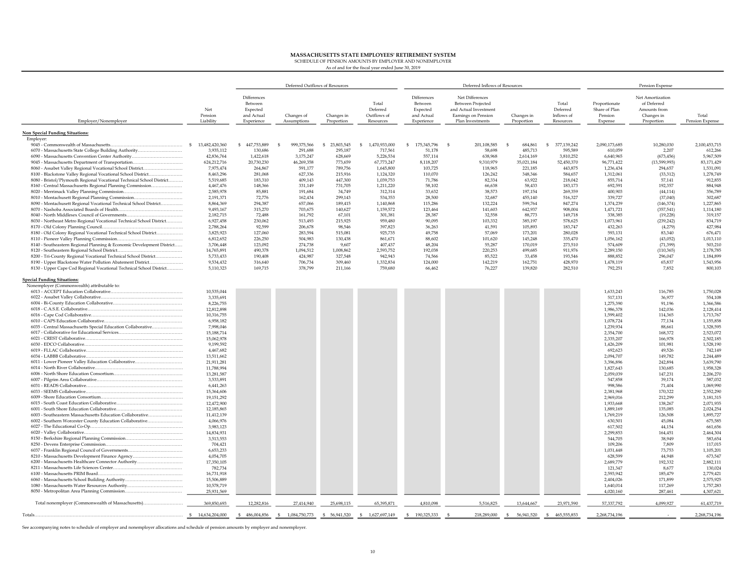MASSACHUSETTS STATE EMPLOYEES' RETIREMENT SYSTEM SCHEDULE OF PENSION AMOUNTS BY EMPLOYER AND NONEMPLOYER

As of and for the fiscal year ended June 30, 2019

|                                                                                                                               |                             |                                                                | Deferred Outflows of Resources |                          |                                               |                                                                |      | Deferred Inflows of Resources                                                                                   |                          |                                              |                                                      | Pension Expense                                                             |                          |
|-------------------------------------------------------------------------------------------------------------------------------|-----------------------------|----------------------------------------------------------------|--------------------------------|--------------------------|-----------------------------------------------|----------------------------------------------------------------|------|-----------------------------------------------------------------------------------------------------------------|--------------------------|----------------------------------------------|------------------------------------------------------|-----------------------------------------------------------------------------|--------------------------|
| Employer/Nonemployer                                                                                                          | Net<br>Pension<br>Liability | Differences<br>Between<br>Expected<br>and Actual<br>Experience | Changes of<br>Assumptions      | Changes in<br>Proportion | Total<br>Deferred<br>Outflows of<br>Resources | Differences<br>Between<br>Expected<br>and Actual<br>Experience |      | Net Differences<br><b>Between Projected</b><br>and Actual Investment<br>Earnings on Pension<br>Plan Investments | Changes in<br>Proportion | Total<br>Deferred<br>Inflows of<br>Resources | Proportionate<br>Share of Plan<br>Pension<br>Expense | Net Amortization<br>of Deferred<br>Amounts from<br>Changes in<br>Proportion | Total<br>Pension Expense |
| <b>Non Special Funding Situations:</b>                                                                                        |                             |                                                                |                                |                          |                                               |                                                                |      |                                                                                                                 |                          |                                              |                                                      |                                                                             |                          |
| Employer:                                                                                                                     | $\sim$<br>13,482,420,360    | \$447,753,889                                                  | $\mathcal{L}$                  | \$ 23,803,545            | 1,470,933,000<br>-S                           | $\mathbf{s}$<br>175,345,796                                    | - \$ | 201,108,585                                                                                                     | -S                       | S<br>377,139,242                             | 2,090,173,685                                        | 10,280,030                                                                  | 2,100,453,715            |
| 6070 - Massachusetts State College Building Authority                                                                         | 3,935,112                   | 130,686                                                        | 999,375,566<br>291,688         | 295,187                  | 717,561                                       | 51,178                                                         |      | 58,698                                                                                                          | 684,861<br>485,713       | 595,589                                      | 610,059                                              | 2,207                                                                       | 612,266                  |
| 6090 - Massachusetts Convention Center Authority                                                                              | 42,836,764                  | 1,422,618                                                      | 3,175,247                      | 628,669                  | 5,226,534                                     | 557,114                                                        |      | 638,968                                                                                                         | 2,614,169                | 3,810,252                                    | 6,640,965                                            | (673, 456)                                                                  | 5,967,509                |
| 9045 - Massachusetts Department of Transportation                                                                             | 624,212,716                 | 20,730,230                                                     | 46,269,358                     | 773,659                  | 67,773,247                                    | 8,118,207                                                      |      | 9,310,979                                                                                                       | 35,021,184               | 52,450,370                                   | 96,771,422                                           | (13, 599, 993)                                                              | 83,171,429               |
| 8060 - Assabet Valley Regional Vocational School District                                                                     | 7,975,474                   | 264,867                                                        | 591,177                        | 789,756                  | 1,645,800                                     | 103,725                                                        |      | 118,965                                                                                                         | 221,185                  | 443,875                                      | 1,236,434                                            | 294,657                                                                     | 1,531,091                |
| 8100 - Blackstone Valley Regional Vocational School District                                                                  | 8,463,296                   | 281.068                                                        | 627,336                        | 215,916                  | 1,124,320                                     | 110.070                                                        |      | 126,242                                                                                                         | 348,346                  | 584,657                                      | 1,312,061                                            | (33, 312)                                                                   | 1,278,749                |
| 8080 - Bristol/Plymouth Regional Vocational Technical School District                                                         | 5,519,685                   | 183,310                                                        | 409,143                        | 447,300                  | 1,039,753                                     | 71,786                                                         |      | 82,334                                                                                                          | 63,922                   | 218,042                                      | 855,714                                              | 57,141                                                                      | 912,855                  |
| 8160 - Central Massachusetts Regional Planning Commission                                                                     | 4,467,476                   | 148,366                                                        | 331,149                        | 731,705                  | 1,211,220                                     | 58,102                                                         |      | 66,638                                                                                                          | 58,433                   | 183,173                                      | 692,591                                              | 192,357                                                                     | 884,948                  |
|                                                                                                                               | 2,585,978<br>2.191.371      | 85,881<br>72.776                                               | 191,684<br>162.434             | 34,749<br>299.143        | 312,314<br>534,353                            | 33,632<br>28,500                                               |      | 38,573<br>32.687                                                                                                | 197,154<br>455.140       | 269,359<br>516,327                           | 400,903<br>339,727                                   | (44, 114)<br>(37.040)                                                       | 356,789<br>302.687       |
| 8010 - Montachusett Regional Planning Commission<br>8090 - Montachusett Regional Vocational Technical School District         | 8,864,369                   | 294,387                                                        | 657,066                        | 189,415                  | 1,140,868                                     | 115,286                                                        |      | 132,224                                                                                                         | 599,764                  | 847,274                                      | 1,374,239                                            | (146, 374)                                                                  | 1,227,865                |
|                                                                                                                               | 9,493,167                   | 315,270                                                        | 703,675                        | 140,627                  | 1,159,572                                     | 123,464                                                        |      | 141,603                                                                                                         | 642,937                  | 908,004                                      | 1,471,721                                            | (357, 541)                                                                  | 1,114,180                |
|                                                                                                                               | 2,182,715                   | 72,488                                                         | 161,792                        | 67,101                   | 301,381                                       | 28,387                                                         |      | 32,558                                                                                                          | 88,773                   | 149,718                                      | 338,385                                              | (19, 228)                                                                   | 319,157                  |
| 8030 - Northeast Metro Regional Vocational Technical School District                                                          | 6,927,458                   | 230,062                                                        | 513,493                        | 215,925                  | 959,480                                       | 90,095                                                         |      | 103,332                                                                                                         | 385,197                  | 578,625                                      | 1,073,961                                            | (239, 242)                                                                  | 834,719                  |
|                                                                                                                               | 2,788,264                   | 92,599                                                         | 206,678                        | 98,546                   | 397,823                                       | 36,263                                                         |      | 41,591                                                                                                          | 105,893                  | 183,747                                      | 432,263                                              | (4,279)                                                                     | 427,984                  |
| 8180 - Old Colony Regional Vocational Technical School District                                                               | 3,825,923                   | 127,060                                                        | 283,594                        | 515,081                  | 925,735                                       | 49,758                                                         |      | 57,069                                                                                                          | 173,201                  | 280,028                                      | 593,131                                              | 83,340                                                                      | 676,471                  |
|                                                                                                                               | 6,812,652                   | 226,250                                                        | 504,983                        | 130,438                  | 861,671                                       | 88,602                                                         |      | 101,620                                                                                                         | 145,248                  | 335,470                                      | 1,056,162                                            | (43,052)                                                                    | 1,013,110                |
| 8140 - Southeastern Regional Planning & Economic Development District                                                         | 3,706,448                   | 123,092                                                        | 274,738                        | 9,607                    | 407,437                                       | 48,204                                                         |      | 55,287                                                                                                          | 170,019                  | 273,510                                      | 574,609                                              | (71, 399)                                                                   | 503,210                  |
|                                                                                                                               | 14,765,891                  | 490,378                                                        | 1,094,512                      | 1,008,862                | 2,593,752                                     | 192,038                                                        |      | 220,253                                                                                                         | 499,685                  | 911,976                                      | 2,289,150                                            | (110, 365)                                                                  | 2,178,785                |
| 8200 - Tri-County Regional Vocational Technical School District<br>8190 - Upper Blackstone Water Pollution Abatement District | 5,733,433<br>9,534,432      | 190,408<br>316,640                                             | 424,987<br>706,734             | 327,548<br>309,460       | 942,943<br>1,332,834                          | 74,566<br>124,000                                              |      | 85,522<br>142,219                                                                                               | 33,458<br>162,751        | 193,546<br>428,970                           | 888,852<br>1,478,119                                 | 296,047<br>65,837                                                           | 1,184,899<br>1,543,956   |
| 8130 - Upper Cape Cod Regional Vocational Technical School District                                                           | 5,110,323                   | 169,715                                                        | 378,799                        | 211,166                  | 759,680                                       | 66,462                                                         |      | 76,227                                                                                                          | 139,820                  | 282,510                                      | 792,251                                              | 7,852                                                                       | 800,103                  |
|                                                                                                                               |                             |                                                                |                                |                          |                                               |                                                                |      |                                                                                                                 |                          |                                              |                                                      |                                                                             |                          |
| <b>Special Funding Situations:</b><br>Nonemployer (Commonwealth) attributable to:                                             |                             |                                                                |                                |                          |                                               |                                                                |      |                                                                                                                 |                          |                                              |                                                      |                                                                             |                          |
|                                                                                                                               | 10,535,044                  |                                                                |                                |                          |                                               |                                                                |      |                                                                                                                 |                          |                                              | 1,633,243                                            | 116,785                                                                     | 1,750,028                |
|                                                                                                                               | 3,335,691                   |                                                                |                                |                          |                                               |                                                                |      |                                                                                                                 |                          |                                              | 517,131                                              | 36,977                                                                      | 554,108                  |
|                                                                                                                               | 8,226,755                   |                                                                |                                |                          |                                               |                                                                |      |                                                                                                                 |                          |                                              | 1,275,390                                            | 91,196                                                                      | 1,366,586                |
|                                                                                                                               | 12,812,898                  |                                                                |                                |                          |                                               |                                                                |      |                                                                                                                 |                          |                                              | 1,986,378                                            | 142,036                                                                     | 2,128,414                |
|                                                                                                                               | 10,316,755                  |                                                                |                                |                          |                                               |                                                                |      |                                                                                                                 |                          |                                              | 1,599,402                                            | 114,365                                                                     | 1,713,767                |
|                                                                                                                               | 6,958,182                   |                                                                |                                |                          |                                               |                                                                |      |                                                                                                                 |                          |                                              | 1,078,724                                            | 77,134                                                                      | 1,155,858                |
| 6035 - Central Massachusetts Special Education Collaborative                                                                  | 7,998,046                   |                                                                |                                |                          |                                               |                                                                |      |                                                                                                                 |                          |                                              | 1.239.934                                            | 88,661                                                                      | 1,328,595                |
|                                                                                                                               | 15,188,714<br>15,062,978    |                                                                |                                |                          |                                               |                                                                |      |                                                                                                                 |                          |                                              | 2,354,700<br>2,335,207                               | 168,372<br>166,978                                                          | 2,523,072                |
|                                                                                                                               | 9,199,592                   |                                                                |                                |                          |                                               |                                                                |      |                                                                                                                 |                          |                                              | 1,426,209                                            | 101,981                                                                     | 2,502,185<br>1,528,190   |
|                                                                                                                               | 4,467,682                   |                                                                |                                |                          |                                               |                                                                |      |                                                                                                                 |                          |                                              | 692,623                                              | 49,526                                                                      | 742,149                  |
|                                                                                                                               | 13,511,662                  |                                                                |                                |                          |                                               |                                                                |      |                                                                                                                 |                          |                                              | 2,094,707                                            | 149,782                                                                     | 2,244,489                |
| 6011 - Lower Pioneer Valley Education Collaborative                                                                           | 21,911,281                  |                                                                |                                |                          |                                               |                                                                |      |                                                                                                                 |                          |                                              | 3,396,896                                            | 242,894                                                                     | 3,639,790                |
|                                                                                                                               | 11,788,994                  |                                                                |                                |                          |                                               |                                                                |      |                                                                                                                 |                          |                                              | 1,827,643                                            | 130,685                                                                     | 1,958,328                |
|                                                                                                                               | 13,281,587                  |                                                                |                                |                          |                                               |                                                                |      |                                                                                                                 |                          |                                              | 2,059,039                                            | 147,231                                                                     | 2,206,270                |
|                                                                                                                               | 3,533,891                   |                                                                |                                |                          |                                               |                                                                |      |                                                                                                                 |                          |                                              | 547,858                                              | 39,174                                                                      | 587,032                  |
|                                                                                                                               | 6,441,263                   |                                                                |                                |                          |                                               |                                                                |      |                                                                                                                 |                          |                                              | 998,586                                              | 71,404                                                                      | 1,069,990                |
|                                                                                                                               | 15,364,606                  |                                                                |                                |                          |                                               |                                                                |      |                                                                                                                 |                          |                                              | 2,381,968                                            | 170,322                                                                     | 2,552,290                |
|                                                                                                                               | 19,151,292<br>12,472,900    |                                                                |                                |                          |                                               |                                                                |      |                                                                                                                 |                          |                                              | 2,969,016<br>1,933,668                               | 212,299<br>138,267                                                          | 3,181,315<br>2,071,935   |
|                                                                                                                               | 12,185,865                  |                                                                |                                |                          |                                               |                                                                |      |                                                                                                                 |                          |                                              | 1,889,169                                            | 135,085                                                                     | 2,024,254                |
| 6003 - Southeastern Massachusetts Education Collaborative                                                                     | 11,412,139                  |                                                                |                                |                          |                                               |                                                                |      |                                                                                                                 |                          |                                              | 1,769,219                                            | 126,508                                                                     | 1,895,727                |
| 6002 - Southern Worcester County Education Collaborative                                                                      | 4.066.976                   |                                                                |                                |                          |                                               |                                                                |      |                                                                                                                 |                          |                                              | 630,501                                              | 45,084                                                                      | 675,585                  |
|                                                                                                                               | 3,983,123                   |                                                                |                                |                          |                                               |                                                                |      |                                                                                                                 |                          |                                              | 617,502                                              | 44,154                                                                      | 661,656                  |
|                                                                                                                               | 14,834,931                  |                                                                |                                |                          |                                               |                                                                |      |                                                                                                                 |                          |                                              | 2,299,853                                            | 164.451                                                                     | 2,464,304                |
|                                                                                                                               | 3,513,553                   |                                                                |                                |                          |                                               |                                                                |      |                                                                                                                 |                          |                                              | 544,705                                              | 38.949                                                                      | 583,654                  |
|                                                                                                                               | 704,421                     |                                                                |                                |                          |                                               |                                                                |      |                                                                                                                 |                          |                                              | 109,206                                              | 7,809                                                                       | 117,015                  |
|                                                                                                                               | 6,653,233                   |                                                                |                                |                          |                                               |                                                                |      |                                                                                                                 |                          |                                              | 1,031,448                                            | 73,753<br>44.948                                                            | 1,105,201                |
| 8210 - Massachusetts Development Finance Agency<br>6200 - Massachusetts Healthcare Connector Authority                        | 4,054,705<br>17,350,105     |                                                                |                                |                          |                                               |                                                                |      |                                                                                                                 |                          |                                              | 628,599<br>2,689,779                                 | 192,332                                                                     | 673,547<br>2,882,111     |
|                                                                                                                               | 782,734                     |                                                                |                                |                          |                                               |                                                                |      |                                                                                                                 |                          |                                              | 121.347                                              | 8.677                                                                       | 130.024                  |
|                                                                                                                               | 16.731.918                  |                                                                |                                |                          |                                               |                                                                |      |                                                                                                                 |                          |                                              | 2,593,942                                            | 185.479                                                                     | 2,779,421                |
|                                                                                                                               | 15,506,889                  |                                                                |                                |                          |                                               |                                                                |      |                                                                                                                 |                          |                                              | 2,404,026                                            | 171,899                                                                     | 2,575,925                |
| 1080 - Massachusetts Water Resources Authority                                                                                | 10,578,719                  |                                                                |                                |                          |                                               |                                                                |      |                                                                                                                 |                          |                                              | 1,640,014                                            | 117,269                                                                     | 1,757,283                |
|                                                                                                                               | 25,931,569                  |                                                                |                                |                          |                                               |                                                                |      |                                                                                                                 |                          |                                              | 4,020,160                                            | 287,461                                                                     | 4,307,621                |
| Total nonemployer (Commonwealth of Massachusetts)                                                                             | 369,850,693                 | 12,282,816                                                     | 27,414,940                     | 25,698,115               | 65,395,871                                    | 4,810,098                                                      |      | 5,516,825                                                                                                       | 13,644,667               | 23,971,590                                   | 57,337,792                                           | 4,099,927                                                                   | 61,437,719               |
| Totals                                                                                                                        | 14,634,204,000              | \$486,004,856                                                  | \$<br>1,084,750,773            | \$ 56,941,520            | \$ 1,627,697,149                              | 190,325,333                                                    |      | 218,289,000                                                                                                     | 56,941,520<br>s          | 465,555,853<br>s                             | 2,268,734,196                                        |                                                                             | 2,268,734,196            |

See accompanying notes to schedule of employer and nonemployer allocations and schedule of pension amounts by employer and nonemployer.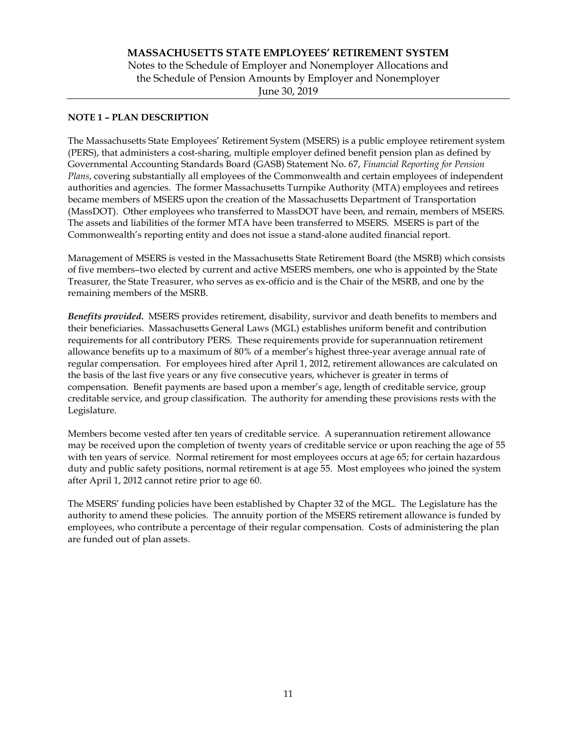## NOTE 1 – PLAN DESCRIPTION

The Massachusetts State Employees' Retirement System (MSERS) is a public employee retirement system (PERS), that administers a cost-sharing, multiple employer defined benefit pension plan as defined by Governmental Accounting Standards Board (GASB) Statement No. 67, Financial Reporting for Pension Plans, covering substantially all employees of the Commonwealth and certain employees of independent authorities and agencies. The former Massachusetts Turnpike Authority (MTA) employees and retirees became members of MSERS upon the creation of the Massachusetts Department of Transportation (MassDOT). Other employees who transferred to MassDOT have been, and remain, members of MSERS. The assets and liabilities of the former MTA have been transferred to MSERS. MSERS is part of the Commonwealth's reporting entity and does not issue a stand-alone audited financial report.

Management of MSERS is vested in the Massachusetts State Retirement Board (the MSRB) which consists of five members–two elected by current and active MSERS members, one who is appointed by the State Treasurer, the State Treasurer, who serves as ex-officio and is the Chair of the MSRB, and one by the remaining members of the MSRB.

Benefits provided. MSERS provides retirement, disability, survivor and death benefits to members and their beneficiaries. Massachusetts General Laws (MGL) establishes uniform benefit and contribution requirements for all contributory PERS. These requirements provide for superannuation retirement allowance benefits up to a maximum of 80% of a member's highest three-year average annual rate of regular compensation. For employees hired after April 1, 2012, retirement allowances are calculated on the basis of the last five years or any five consecutive years, whichever is greater in terms of compensation. Benefit payments are based upon a member's age, length of creditable service, group creditable service, and group classification. The authority for amending these provisions rests with the Legislature.

Members become vested after ten years of creditable service. A superannuation retirement allowance may be received upon the completion of twenty years of creditable service or upon reaching the age of 55 with ten years of service. Normal retirement for most employees occurs at age 65; for certain hazardous duty and public safety positions, normal retirement is at age 55. Most employees who joined the system after April 1, 2012 cannot retire prior to age 60.

The MSERS' funding policies have been established by Chapter 32 of the MGL. The Legislature has the authority to amend these policies. The annuity portion of the MSERS retirement allowance is funded by employees, who contribute a percentage of their regular compensation. Costs of administering the plan are funded out of plan assets.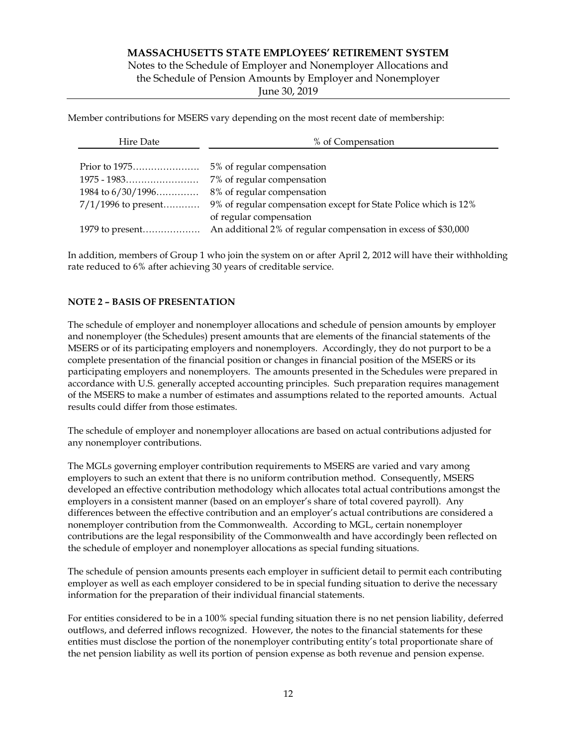Notes to the Schedule of Employer and Nonemployer Allocations and the Schedule of Pension Amounts by Employer and Nonemployer

June 30, 2019

Member contributions for MSERS vary depending on the most recent date of membership:

| Hire Date | % of Compensation       |
|-----------|-------------------------|
|           |                         |
|           |                         |
|           |                         |
|           |                         |
|           | of regular compensation |
|           |                         |

In addition, members of Group 1 who join the system on or after April 2, 2012 will have their withholding rate reduced to 6% after achieving 30 years of creditable service.

## NOTE 2 – BASIS OF PRESENTATION

The schedule of employer and nonemployer allocations and schedule of pension amounts by employer and nonemployer (the Schedules) present amounts that are elements of the financial statements of the MSERS or of its participating employers and nonemployers. Accordingly, they do not purport to be a complete presentation of the financial position or changes in financial position of the MSERS or its participating employers and nonemployers. The amounts presented in the Schedules were prepared in accordance with U.S. generally accepted accounting principles. Such preparation requires management of the MSERS to make a number of estimates and assumptions related to the reported amounts. Actual results could differ from those estimates.

The schedule of employer and nonemployer allocations are based on actual contributions adjusted for any nonemployer contributions.

The MGLs governing employer contribution requirements to MSERS are varied and vary among employers to such an extent that there is no uniform contribution method. Consequently, MSERS developed an effective contribution methodology which allocates total actual contributions amongst the employers in a consistent manner (based on an employer's share of total covered payroll). Any differences between the effective contribution and an employer's actual contributions are considered a nonemployer contribution from the Commonwealth. According to MGL, certain nonemployer contributions are the legal responsibility of the Commonwealth and have accordingly been reflected on the schedule of employer and nonemployer allocations as special funding situations.

The schedule of pension amounts presents each employer in sufficient detail to permit each contributing employer as well as each employer considered to be in special funding situation to derive the necessary information for the preparation of their individual financial statements.

For entities considered to be in a 100% special funding situation there is no net pension liability, deferred outflows, and deferred inflows recognized. However, the notes to the financial statements for these entities must disclose the portion of the nonemployer contributing entity's total proportionate share of the net pension liability as well its portion of pension expense as both revenue and pension expense.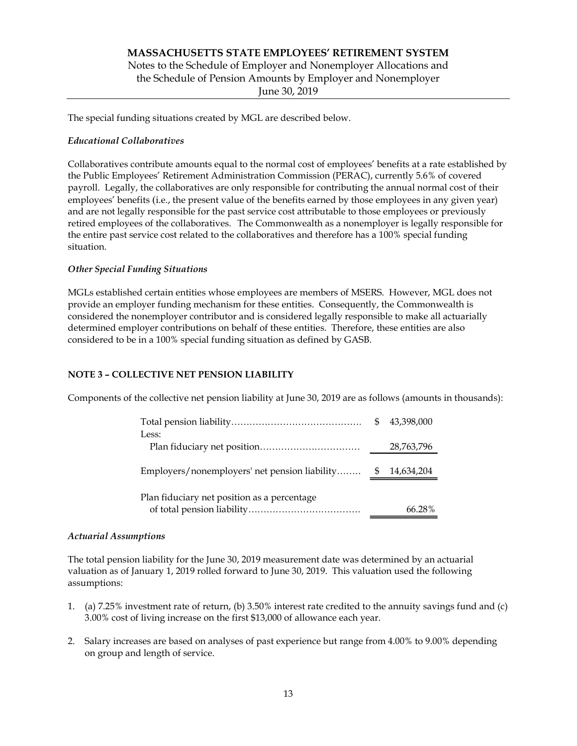# MASSACHUSETTS STATE EMPLOYEES' RETIREMENT SYSTEM Notes to the Schedule of Employer and Nonemployer Allocations and the Schedule of Pension Amounts by Employer and Nonemployer June 30, 2019

The special funding situations created by MGL are described below.

## Educational Collaboratives

Collaboratives contribute amounts equal to the normal cost of employees' benefits at a rate established by the Public Employees' Retirement Administration Commission (PERAC), currently 5.6% of covered payroll. Legally, the collaboratives are only responsible for contributing the annual normal cost of their employees' benefits (i.e., the present value of the benefits earned by those employees in any given year) and are not legally responsible for the past service cost attributable to those employees or previously retired employees of the collaboratives. The Commonwealth as a nonemployer is legally responsible for the entire past service cost related to the collaboratives and therefore has a 100% special funding situation.

# Other Special Funding Situations

MGLs established certain entities whose employees are members of MSERS. However, MGL does not provide an employer funding mechanism for these entities. Consequently, the Commonwealth is considered the nonemployer contributor and is considered legally responsible to make all actuarially determined employer contributions on behalf of these entities. Therefore, these entities are also considered to be in a 100% special funding situation as defined by GASB.

## NOTE 3 – COLLECTIVE NET PENSION LIABILITY

Components of the collective net pension liability at June 30, 2019 are as follows (amounts in thousands):

| Less:                                                       | 43,398,000 |  |
|-------------------------------------------------------------|------------|--|
|                                                             | 28,763,796 |  |
| Employers/nonemployers' net pension liability \$ 14,634,204 |            |  |
| Plan fiduciary net position as a percentage                 | 66.28%     |  |

## Actuarial Assumptions

The total pension liability for the June 30, 2019 measurement date was determined by an actuarial valuation as of January 1, 2019 rolled forward to June 30, 2019. This valuation used the following assumptions:

- 1. (a) 7.25% investment rate of return, (b) 3.50% interest rate credited to the annuity savings fund and (c) 3.00% cost of living increase on the first \$13,000 of allowance each year.
- 2. Salary increases are based on analyses of past experience but range from 4.00% to 9.00% depending on group and length of service.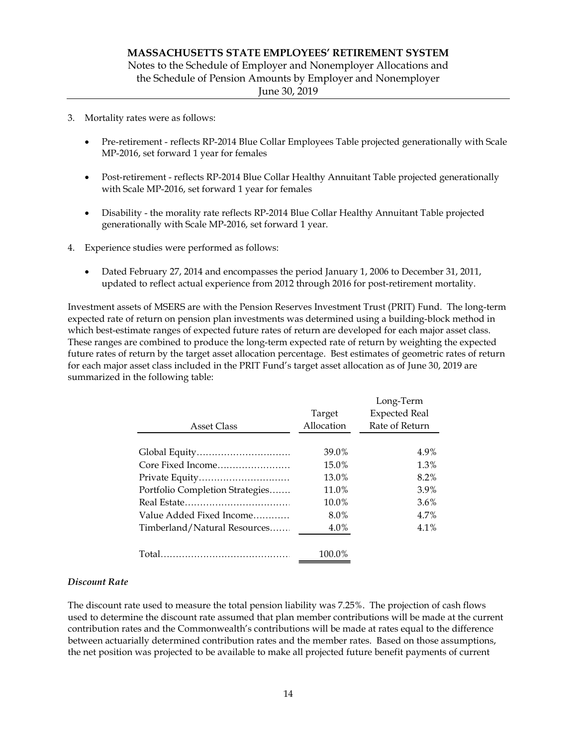- 3. Mortality rates were as follows:
	- Pre-retirement reflects RP-2014 Blue Collar Employees Table projected generationally with Scale MP-2016, set forward 1 year for females
	- Post-retirement reflects RP-2014 Blue Collar Healthy Annuitant Table projected generationally with Scale MP-2016, set forward 1 year for females
	- Disability the morality rate reflects RP-2014 Blue Collar Healthy Annuitant Table projected generationally with Scale MP-2016, set forward 1 year.
- 4. Experience studies were performed as follows:
	- Dated February 27, 2014 and encompasses the period January 1, 2006 to December 31, 2011, updated to reflect actual experience from 2012 through 2016 for post-retirement mortality.

Investment assets of MSERS are with the Pension Reserves Investment Trust (PRIT) Fund. The long-term expected rate of return on pension plan investments was determined using a building-block method in which best-estimate ranges of expected future rates of return are developed for each major asset class. These ranges are combined to produce the long-term expected rate of return by weighting the expected future rates of return by the target asset allocation percentage. Best estimates of geometric rates of return for each major asset class included in the PRIT Fund's target asset allocation as of June 30, 2019 are summarized in the following table:

|                                 |            | Long-Term            |
|---------------------------------|------------|----------------------|
|                                 | Target     | <b>Expected Real</b> |
| <b>Asset Class</b>              | Allocation | Rate of Return       |
|                                 | 39.0%      | 4.9%                 |
| Core Fixed Income               | 15.0%      | 1.3%                 |
|                                 | 13.0%      | 8.2%                 |
| Portfolio Completion Strategies | 11.0%      | 3.9%                 |
|                                 | 10.0%      | $3.6\%$              |
| Value Added Fixed Income        | 8.0%       | 4.7%                 |
| Timberland/Natural Resources    | $4.0\%$    | 4.1%                 |
|                                 |            |                      |
|                                 | 100.0%     |                      |

### Discount Rate

The discount rate used to measure the total pension liability was 7.25%. The projection of cash flows used to determine the discount rate assumed that plan member contributions will be made at the current contribution rates and the Commonwealth's contributions will be made at rates equal to the difference between actuarially determined contribution rates and the member rates. Based on those assumptions, the net position was projected to be available to make all projected future benefit payments of current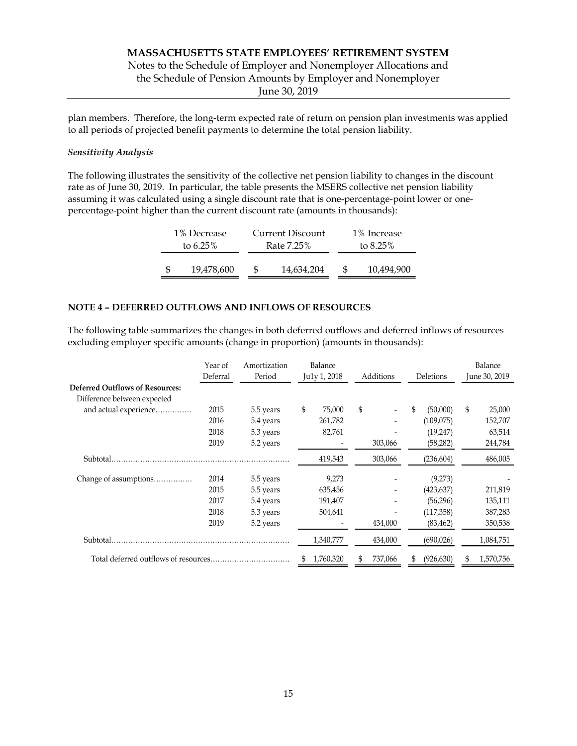Notes to the Schedule of Employer and Nonemployer Allocations and

the Schedule of Pension Amounts by Employer and Nonemployer

June 30, 2019

plan members. Therefore, the long-term expected rate of return on pension plan investments was applied to all periods of projected benefit payments to determine the total pension liability.

## Sensitivity Analysis

The following illustrates the sensitivity of the collective net pension liability to changes in the discount rate as of June 30, 2019. In particular, the table presents the MSERS collective net pension liability assuming it was calculated using a single discount rate that is one-percentage-point lower or onepercentage-point higher than the current discount rate (amounts in thousands):

## NOTE 4 – DEFERRED OUTFLOWS AND INFLOWS OF RESOURCES

The following table summarizes the changes in both deferred outflows and deferred inflows of resources excluding employer specific amounts (change in proportion) (amounts in thousands):

|                                                                                                                      | June 30, 2019 |
|----------------------------------------------------------------------------------------------------------------------|---------------|
| Deferral<br>Additions<br>Period<br>Ju1y 1, 2018<br>Deletions<br><b>Deferred Outflows of Resources:</b>               |               |
| Difference between expected                                                                                          |               |
| and actual experience<br>\$<br>2015<br>75,000<br>\$<br>\$<br>(50,000)<br>S.<br>5.5 years<br>$\overline{\phantom{a}}$ | 25,000        |
| 2016<br>261,782<br>(109, 075)<br>5.4 years<br>$\overline{\phantom{a}}$                                               | 152,707       |
| (19,247)<br>2018<br>82,761<br>5.3 years                                                                              | 63,514        |
| 2019<br>303,066<br>5.2 years<br>(58, 282)<br>$\overline{\phantom{a}}$                                                | 244,784       |
| Subtotal.<br>419,543<br>303,066<br>(236, 604)                                                                        | 486,005       |
| 9,273<br>Change of assumptions<br>2014<br>5.5 years<br>(9,273)                                                       |               |
| 2015<br>635,456<br>(423, 637)<br>5.5 years<br>$\overline{\phantom{0}}$                                               | 211,819       |
| 2017<br>5.4 years<br>191,407<br>(56,296)<br>$\overline{\phantom{a}}$                                                 | 135,111       |
| 2018<br>(117,358)<br>5.3 years<br>504,641<br>$\qquad \qquad \blacksquare$                                            | 387,283       |
| 2019<br>5.2 years<br>434,000<br>(83, 462)                                                                            | 350,538       |
| Subtotal.<br>434,000<br>1,340,777<br>(690, 026)                                                                      | 1,084,751     |
| 1,760,320<br>737,066<br>(926, 630)<br>S<br>S                                                                         | 1,570,756     |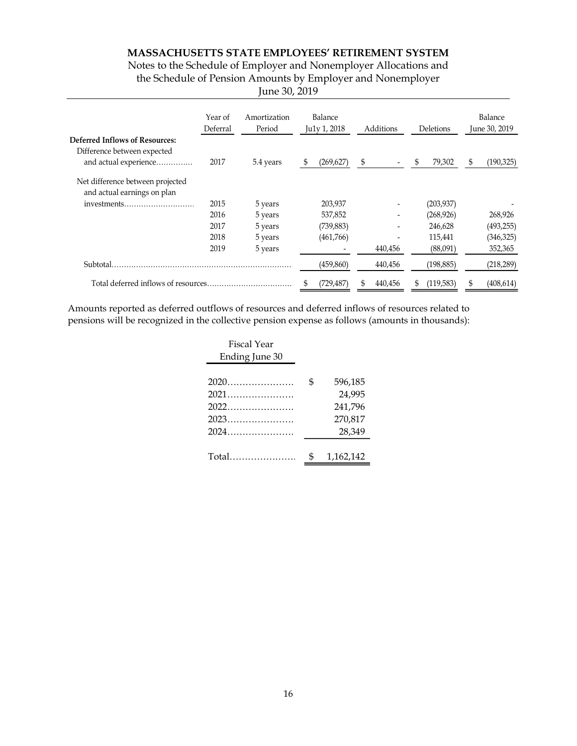Notes to the Schedule of Employer and Nonemployer Allocations and the Schedule of Pension Amounts by Employer and Nonemployer

| June 30, 2019 |  |  |  |
|---------------|--|--|--|
|---------------|--|--|--|

|                                                                      | Year of<br>Deferral | Amortization<br>Period | Balance<br>Ju1y 1, 2018  | Additions                | Deletions  | Balance<br>June 30, 2019 |
|----------------------------------------------------------------------|---------------------|------------------------|--------------------------|--------------------------|------------|--------------------------|
| <b>Deferred Inflows of Resources:</b><br>Difference between expected |                     |                        |                          |                          |            |                          |
| and actual experience                                                | 2017                | 5.4 years              | (269, 627)               |                          | 79,302     | (190, 325)<br>\$         |
| Net difference between projected<br>and actual earnings on plan      |                     |                        |                          |                          |            |                          |
| investments                                                          | 2015                | 5 years                | 203,937                  | $\overline{\phantom{a}}$ | (203, 937) |                          |
|                                                                      | 2016                | 5 years                | 537,852                  | $\overline{\phantom{a}}$ | (268, 926) | 268,926                  |
|                                                                      | 2017                | 5 years                | (739, 883)               | $\overline{\phantom{a}}$ | 246,628    | (493, 255)               |
|                                                                      | 2018                | 5 years                | (461,766)                | $\overline{\phantom{0}}$ | 115,441    | (346, 325)               |
|                                                                      | 2019                | 5 years                | $\overline{\phantom{a}}$ | 440,456                  | (88,091)   | 352,365                  |
| Subtotal.                                                            |                     |                        | (459, 860)               | 440,456                  | (198, 885) | (218, 289)               |
|                                                                      |                     |                        | (729, 487)               | 440,456                  | (119,583)  | (408, 614)<br>S          |

Amounts reported as deferred outflows of resources and deferred inflows of resources related to pensions will be recognized in the collective pension expense as follows (amounts in thousands):

| <b>Fiscal Year</b> |           |
|--------------------|-----------|
| Ending June 30     |           |
|                    | 596,185   |
| 2021               | 24,995    |
|                    | 241,796   |
|                    | 270,817   |
|                    | 28,349    |
|                    |           |
|                    | 1,162,142 |